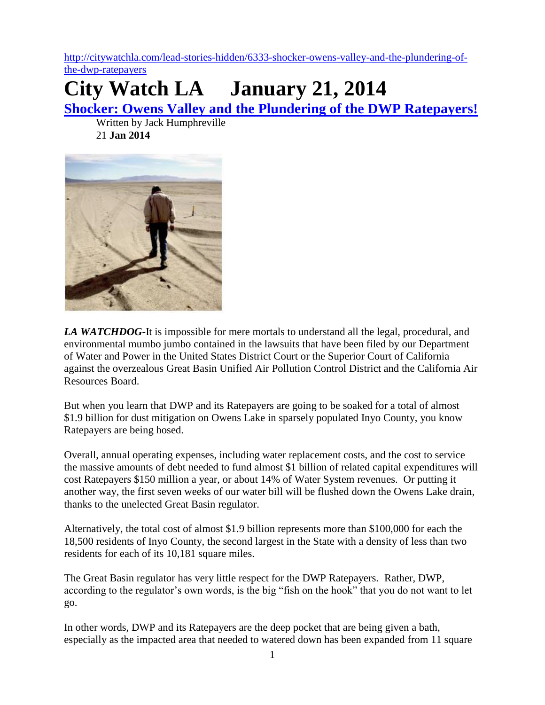[http://citywatchla.com/lead-stories-hidden/6333-shocker-owens-valley-and-the-plundering-of](http://citywatchla.com/lead-stories-hidden/6333-shocker-owens-valley-and-the-plundering-of-the-dwp-ratepayers)[the-dwp-ratepayers](http://citywatchla.com/lead-stories-hidden/6333-shocker-owens-valley-and-the-plundering-of-the-dwp-ratepayers)

## **City Watch LA January 21, 2014**

**[Shocker: Owens Valley and the Plundering of the DWP Ratepayers!](http://citywatchla.com/lead-stories-hidden/6333-shocker-owens-valley-and-the-plundering-of-the-dwp-ratepayers)**

Written by Jack Humphreville 21 **Jan 2014**



*LA WATCHDOG*-It is impossible for mere mortals to understand all the legal, procedural, and environmental mumbo jumbo contained in the lawsuits that have been filed by our Department of Water and Power in the United States District Court or the Superior Court of California against the overzealous Great Basin Unified Air Pollution Control District and the California Air Resources Board.

But when you learn that DWP and its Ratepayers are going to be soaked for a total of almost \$1.9 billion for dust mitigation on Owens Lake in sparsely populated Inyo County, you know Ratepayers are being hosed.

Overall, annual operating expenses, including water replacement costs, and the cost to service the massive amounts of debt needed to fund almost \$1 billion of related capital expenditures will cost Ratepayers \$150 million a year, or about 14% of Water System revenues. Or putting it another way, the first seven weeks of our water bill will be flushed down the Owens Lake drain, thanks to the unelected Great Basin regulator.

Alternatively, the total cost of almost \$1.9 billion represents more than \$100,000 for each the 18,500 residents of Inyo County, the second largest in the State with a density of less than two residents for each of its 10,181 square miles.

The Great Basin regulator has very little respect for the DWP Ratepayers. Rather, DWP, according to the regulator's own words, is the big "fish on the hook" that you do not want to let go.

In other words, DWP and its Ratepayers are the deep pocket that are being given a bath, especially as the impacted area that needed to watered down has been expanded from 11 square